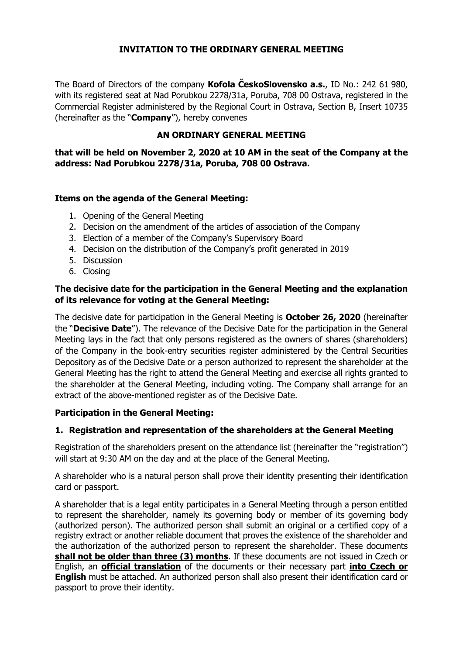# **INVITATION TO THE ORDINARY GENERAL MEETING**

The Board of Directors of the company **Kofola ČeskoSlovensko a.s.**, ID No.: 242 61 980, with its registered seat at Nad Porubkou 2278/31a, Poruba, 708 00 Ostrava, registered in the Commercial Register administered by the Regional Court in Ostrava, Section B, Insert 10735 (hereinafter as the "**Company**"), hereby convenes

# **AN ORDINARY GENERAL MEETING**

## **that will be held on November 2, 2020 at 10 AM in the seat of the Company at the address: Nad Porubkou 2278/31a, Poruba, 708 00 Ostrava.**

# **Items on the agenda of the General Meeting:**

- 1. Opening of the General Meeting
- 2. Decision on the amendment of the articles of association of the Company
- 3. Election of a member of the Company's Supervisory Board
- 4. Decision on the distribution of the Company's profit generated in 2019
- 5. Discussion
- 6. Closing

### **The decisive date for the participation in the General Meeting and the explanation of its relevance for voting at the General Meeting:**

The decisive date for participation in the General Meeting is **October 26, 2020** (hereinafter the "**Decisive Date**"). The relevance of the Decisive Date for the participation in the General Meeting lays in the fact that only persons registered as the owners of shares (shareholders) of the Company in the book-entry securities register administered by the Central Securities Depository as of the Decisive Date or a person authorized to represent the shareholder at the General Meeting has the right to attend the General Meeting and exercise all rights granted to the shareholder at the General Meeting, including voting. The Company shall arrange for an extract of the above-mentioned register as of the Decisive Date.

#### **Participation in the General Meeting:**

# **1. Registration and representation of the shareholders at the General Meeting**

Registration of the shareholders present on the attendance list (hereinafter the "registration") will start at 9:30 AM on the day and at the place of the General Meeting.

A shareholder who is a natural person shall prove their identity presenting their identification card or passport.

A shareholder that is a legal entity participates in a General Meeting through a person entitled to represent the shareholder, namely its governing body or member of its governing body (authorized person). The authorized person shall submit an original or a certified copy of a registry extract or another reliable document that proves the existence of the shareholder and the authorization of the authorized person to represent the shareholder. These documents **shall not be older than three (3) months**. If these documents are not issued in Czech or English, an **official translation** of the documents or their necessary part **into Czech or English** must be attached. An authorized person shall also present their identification card or passport to prove their identity.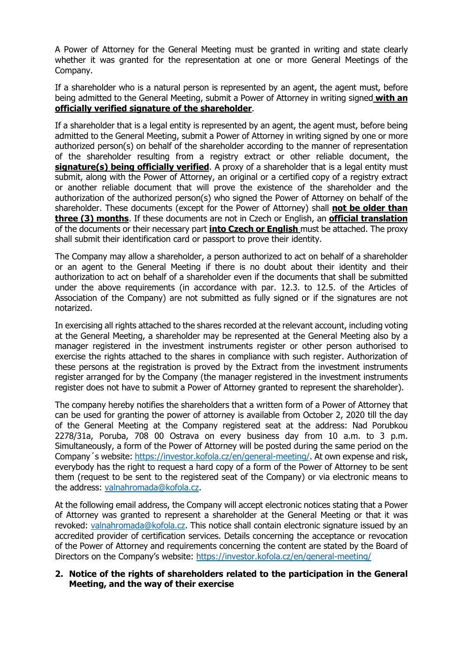A Power of Attorney for the General Meeting must be granted in writing and state clearly whether it was granted for the representation at one or more General Meetings of the Company.

If a shareholder who is a natural person is represented by an agent, the agent must, before being admitted to the General Meeting, submit a Power of Attorney in writing signed **with an officially verified signature of the shareholder**.

If a shareholder that is a legal entity is represented by an agent, the agent must, before being admitted to the General Meeting, submit a Power of Attorney in writing signed by one or more authorized person(s) on behalf of the shareholder according to the manner of representation of the shareholder resulting from a registry extract or other reliable document, the **signature(s) being officially verified**. A proxy of a shareholder that is a legal entity must submit, along with the Power of Attorney, an original or a certified copy of a registry extract or another reliable document that will prove the existence of the shareholder and the authorization of the authorized person(s) who signed the Power of Attorney on behalf of the shareholder. These documents (except for the Power of Attorney) shall **not be older than three (3) months**. If these documents are not in Czech or English, an **official translation** of the documents or their necessary part **into Czech or English** must be attached. The proxy shall submit their identification card or passport to prove their identity.

The Company may allow a shareholder, a person authorized to act on behalf of a shareholder or an agent to the General Meeting if there is no doubt about their identity and their authorization to act on behalf of a shareholder even if the documents that shall be submitted under the above requirements (in accordance with par. 12.3. to 12.5. of the Articles of Association of the Company) are not submitted as fully signed or if the signatures are not notarized.

In exercising all rights attached to the shares recorded at the relevant account, including voting at the General Meeting, a shareholder may be represented at the General Meeting also by a manager registered in the investment instruments register or other person authorised to exercise the rights attached to the shares in compliance with such register. Authorization of these persons at the registration is proved by the Extract from the investment instruments register arranged for by the Company (the manager registered in the investment instruments register does not have to submit a Power of Attorney granted to represent the shareholder).

The company hereby notifies the shareholders that a written form of a Power of Attorney that can be used for granting the power of attorney is available from October 2, 2020 till the day of the General Meeting at the Company registered seat at the address: Nad Porubkou 2278/31a, Poruba, 708 00 Ostrava on every business day from 10 a.m. to 3 p.m. Simultaneously, a form of the Power of Attorney will be posted during the same period on the Company´s website: [https://investor.kofola.cz/en/general-meeting/.](https://investor.kofola.cz/en/general-meeting/) At own expense and risk, everybody has the right to request a hard copy of a form of the Power of Attorney to be sent them (request to be sent to the registered seat of the Company) or via electronic means to the address: [valnahromada@kofola.cz.](mailto:valnahromada@kofola.cz)

At the following email address, the Company will accept electronic notices stating that a Power of Attorney was granted to represent a shareholder at the General Meeting or that it was revoked: [valnahromada@kofola.cz.](mailto:valnahromada@kofola.cz) This notice shall contain electronic signature issued by an accredited provider of certification services. Details concerning the acceptance or revocation of the Power of Attorney and requirements concerning the content are stated by the Board of Directors on the Company's website:<https://investor.kofola.cz/en/general-meeting/>

### **2. Notice of the rights of shareholders related to the participation in the General Meeting, and the way of their exercise**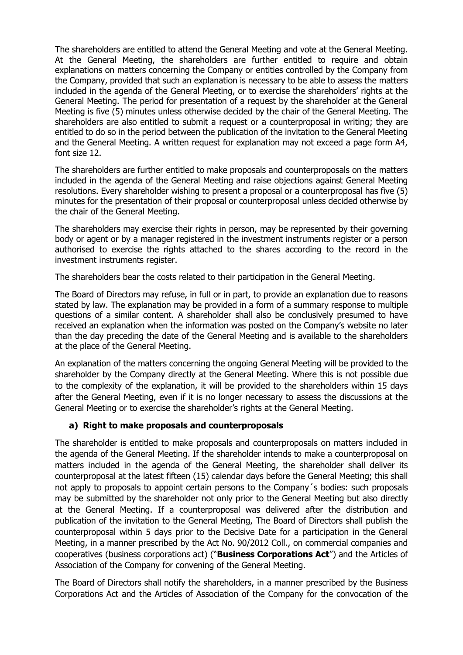The shareholders are entitled to attend the General Meeting and vote at the General Meeting. At the General Meeting, the shareholders are further entitled to require and obtain explanations on matters concerning the Company or entities controlled by the Company from the Company, provided that such an explanation is necessary to be able to assess the matters included in the agenda of the General Meeting, or to exercise the shareholders' rights at the General Meeting. The period for presentation of a request by the shareholder at the General Meeting is five (5) minutes unless otherwise decided by the chair of the General Meeting. The shareholders are also entitled to submit a request or a counterproposal in writing; they are entitled to do so in the period between the publication of the invitation to the General Meeting and the General Meeting. A written request for explanation may not exceed a page form A4, font size 12.

The shareholders are further entitled to make proposals and counterproposals on the matters included in the agenda of the General Meeting and raise objections against General Meeting resolutions. Every shareholder wishing to present a proposal or a counterproposal has five (5) minutes for the presentation of their proposal or counterproposal unless decided otherwise by the chair of the General Meeting.

The shareholders may exercise their rights in person, may be represented by their governing body or agent or by a manager registered in the investment instruments register or a person authorised to exercise the rights attached to the shares according to the record in the investment instruments register.

The shareholders bear the costs related to their participation in the General Meeting.

The Board of Directors may refuse, in full or in part, to provide an explanation due to reasons stated by law. The explanation may be provided in a form of a summary response to multiple questions of a similar content. A shareholder shall also be conclusively presumed to have received an explanation when the information was posted on the Company's website no later than the day preceding the date of the General Meeting and is available to the shareholders at the place of the General Meeting.

An explanation of the matters concerning the ongoing General Meeting will be provided to the shareholder by the Company directly at the General Meeting. Where this is not possible due to the complexity of the explanation, it will be provided to the shareholders within 15 days after the General Meeting, even if it is no longer necessary to assess the discussions at the General Meeting or to exercise the shareholder's rights at the General Meeting.

# **a) Right to make proposals and counterproposals**

The shareholder is entitled to make proposals and counterproposals on matters included in the agenda of the General Meeting. If the shareholder intends to make a counterproposal on matters included in the agenda of the General Meeting, the shareholder shall deliver its counterproposal at the latest fifteen (15) calendar days before the General Meeting; this shall not apply to proposals to appoint certain persons to the Company´s bodies: such proposals may be submitted by the shareholder not only prior to the General Meeting but also directly at the General Meeting. If a counterproposal was delivered after the distribution and publication of the invitation to the General Meeting, The Board of Directors shall publish the counterproposal within 5 days prior to the Decisive Date for a participation in the General Meeting, in a manner prescribed by the Act No. 90/2012 Coll., on commercial companies and cooperatives (business corporations act) ("**Business Corporations Act**") and the Articles of Association of the Company for convening of the General Meeting.

The Board of Directors shall notify the shareholders, in a manner prescribed by the Business Corporations Act and the Articles of Association of the Company for the convocation of the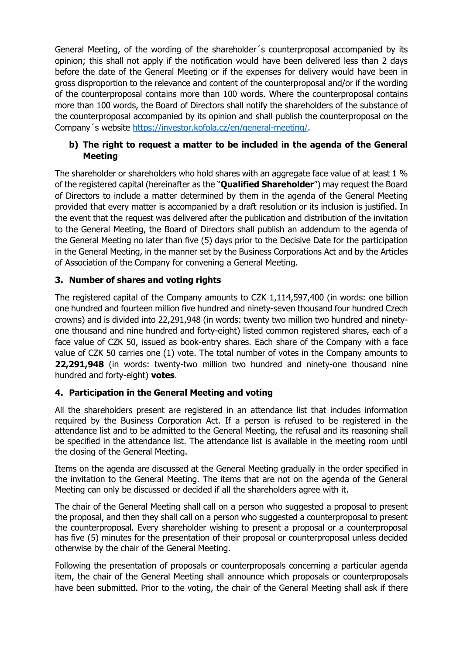General Meeting, of the wording of the shareholder´s counterproposal accompanied by its opinion; this shall not apply if the notification would have been delivered less than 2 days before the date of the General Meeting or if the expenses for delivery would have been in gross disproportion to the relevance and content of the counterproposal and/or if the wording of the counterproposal contains more than 100 words. Where the counterproposal contains more than 100 words, the Board of Directors shall notify the shareholders of the substance of the counterproposal accompanied by its opinion and shall publish the counterproposal on the Company´s website [https://investor.kofola.cz/en/general-meeting/.](https://investor.kofola.cz/en/general-meeting/)

# **b) The right to request a matter to be included in the agenda of the General Meeting**

The shareholder or shareholders who hold shares with an aggregate face value of at least 1 % of the registered capital (hereinafter as the "**Qualified Shareholder**") may request the Board of Directors to include a matter determined by them in the agenda of the General Meeting provided that every matter is accompanied by a draft resolution or its inclusion is justified. In the event that the request was delivered after the publication and distribution of the invitation to the General Meeting, the Board of Directors shall publish an addendum to the agenda of the General Meeting no later than five (5) days prior to the Decisive Date for the participation in the General Meeting, in the manner set by the Business Corporations Act and by the Articles of Association of the Company for convening a General Meeting.

# **3. Number of shares and voting rights**

The registered capital of the Company amounts to CZK 1,114,597,400 (in words: one billion one hundred and fourteen million five hundred and ninety-seven thousand four hundred Czech crowns) and is divided into 22,291,948 (in words: twenty two million two hundred and ninetyone thousand and nine hundred and forty-eight) listed common registered shares, each of a face value of CZK 50, issued as book-entry shares. Each share of the Company with a face value of CZK 50 carries one (1) vote. The total number of votes in the Company amounts to **22,291,948** (in words: twenty-two million two hundred and ninety-one thousand nine hundred and forty-eight) **votes**.

# **4. Participation in the General Meeting and voting**

All the shareholders present are registered in an attendance list that includes information required by the Business Corporation Act. If a person is refused to be registered in the attendance list and to be admitted to the General Meeting, the refusal and its reasoning shall be specified in the attendance list. The attendance list is available in the meeting room until the closing of the General Meeting.

Items on the agenda are discussed at the General Meeting gradually in the order specified in the invitation to the General Meeting. The items that are not on the agenda of the General Meeting can only be discussed or decided if all the shareholders agree with it.

The chair of the General Meeting shall call on a person who suggested a proposal to present the proposal, and then they shall call on a person who suggested a counterproposal to present the counterproposal. Every shareholder wishing to present a proposal or a counterproposal has five (5) minutes for the presentation of their proposal or counterproposal unless decided otherwise by the chair of the General Meeting.

Following the presentation of proposals or counterproposals concerning a particular agenda item, the chair of the General Meeting shall announce which proposals or counterproposals have been submitted. Prior to the voting, the chair of the General Meeting shall ask if there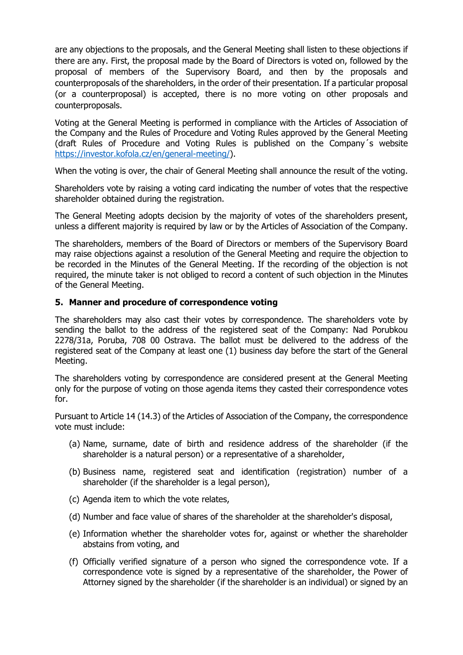are any objections to the proposals, and the General Meeting shall listen to these objections if there are any. First, the proposal made by the Board of Directors is voted on, followed by the proposal of members of the Supervisory Board, and then by the proposals and counterproposals of the shareholders, in the order of their presentation. If a particular proposal (or a counterproposal) is accepted, there is no more voting on other proposals and counterproposals.

Voting at the General Meeting is performed in compliance with the Articles of Association of the Company and the Rules of Procedure and Voting Rules approved by the General Meeting (draft Rules of Procedure and Voting Rules is published on the Company´s website [https://investor.kofola.cz/en/general-meeting/\)](https://investor.kofola.cz/en/general-meeting/).

When the voting is over, the chair of General Meeting shall announce the result of the voting.

Shareholders vote by raising a voting card indicating the number of votes that the respective shareholder obtained during the registration.

The General Meeting adopts decision by the majority of votes of the shareholders present, unless a different majority is required by law or by the Articles of Association of the Company.

The shareholders, members of the Board of Directors or members of the Supervisory Board may raise objections against a resolution of the General Meeting and require the objection to be recorded in the Minutes of the General Meeting. If the recording of the objection is not required, the minute taker is not obliged to record a content of such objection in the Minutes of the General Meeting.

### **5. Manner and procedure of correspondence voting**

The shareholders may also cast their votes by correspondence. The shareholders vote by sending the ballot to the address of the registered seat of the Company: Nad Porubkou 2278/31a, Poruba, 708 00 Ostrava. The ballot must be delivered to the address of the registered seat of the Company at least one (1) business day before the start of the General Meeting.

The shareholders voting by correspondence are considered present at the General Meeting only for the purpose of voting on those agenda items they casted their correspondence votes for.

Pursuant to Article 14 (14.3) of the Articles of Association of the Company, the correspondence vote must include:

- (a) Name, surname, date of birth and residence address of the shareholder (if the shareholder is a natural person) or a representative of a shareholder,
- (b) Business name, registered seat and identification (registration) number of a shareholder (if the shareholder is a legal person),
- (c) Agenda item to which the vote relates,
- (d) Number and face value of shares of the shareholder at the shareholder's disposal,
- (e) Information whether the shareholder votes for, against or whether the shareholder abstains from voting, and
- (f) Officially verified signature of a person who signed the correspondence vote. If a correspondence vote is signed by a representative of the shareholder, the Power of Attorney signed by the shareholder (if the shareholder is an individual) or signed by an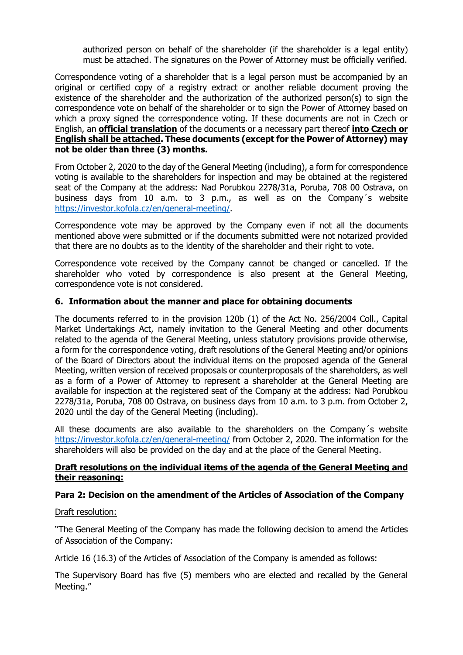authorized person on behalf of the shareholder (if the shareholder is a legal entity) must be attached. The signatures on the Power of Attorney must be officially verified.

Correspondence voting of a shareholder that is a legal person must be accompanied by an original or certified copy of a registry extract or another reliable document proving the existence of the shareholder and the authorization of the authorized person(s) to sign the correspondence vote on behalf of the shareholder or to sign the Power of Attorney based on which a proxy signed the correspondence voting. If these documents are not in Czech or English, an **official translation** of the documents or a necessary part thereof **into Czech or English shall be attached. These documents (except for the Power of Attorney) may not be older than three (3) months.**

From October 2, 2020 to the day of the General Meeting (including), a form for correspondence voting is available to the shareholders for inspection and may be obtained at the registered seat of the Company at the address: Nad Porubkou 2278/31a, Poruba, 708 00 Ostrava, on business days from 10 a.m. to 3 p.m., as well as on the Company´s website [https://investor.kofola.cz/en/general-meeting/.](https://investor.kofola.cz/en/general-meeting/)

Correspondence vote may be approved by the Company even if not all the documents mentioned above were submitted or if the documents submitted were not notarized provided that there are no doubts as to the identity of the shareholder and their right to vote.

Correspondence vote received by the Company cannot be changed or cancelled. If the shareholder who voted by correspondence is also present at the General Meeting, correspondence vote is not considered.

### **6. Information about the manner and place for obtaining documents**

The documents referred to in the provision 120b (1) of the Act No. 256/2004 Coll., Capital Market Undertakings Act, namely invitation to the General Meeting and other documents related to the agenda of the General Meeting, unless statutory provisions provide otherwise, a form for the correspondence voting, draft resolutions of the General Meeting and/or opinions of the Board of Directors about the individual items on the proposed agenda of the General Meeting, written version of received proposals or counterproposals of the shareholders, as well as a form of a Power of Attorney to represent a shareholder at the General Meeting are available for inspection at the registered seat of the Company at the address: Nad Porubkou 2278/31a, Poruba, 708 00 Ostrava, on business days from 10 a.m. to 3 p.m. from October 2, 2020 until the day of the General Meeting (including).

All these documents are also available to the shareholders on the Company´s website <https://investor.kofola.cz/en/general-meeting/> from October 2, 2020. The information for the shareholders will also be provided on the day and at the place of the General Meeting.

### **Draft resolutions on the individual items of the agenda of the General Meeting and their reasoning:**

#### **Para 2: Decision on the amendment of the Articles of Association of the Company**

#### Draft resolution:

"The General Meeting of the Company has made the following decision to amend the Articles of Association of the Company:

Article 16 (16.3) of the Articles of Association of the Company is amended as follows:

The Supervisory Board has five (5) members who are elected and recalled by the General Meeting."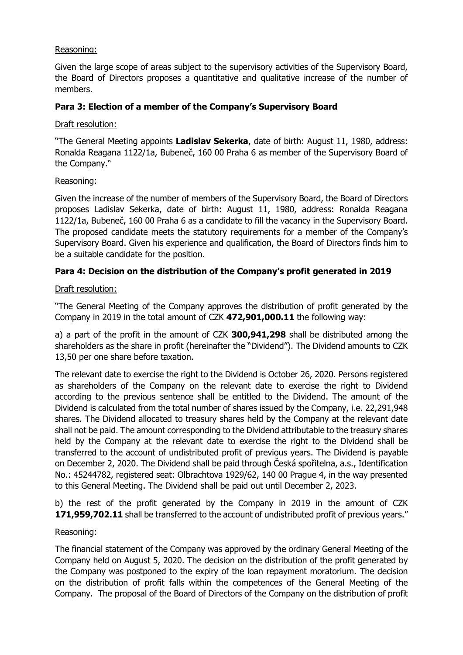### Reasoning:

Given the large scope of areas subject to the supervisory activities of the Supervisory Board, the Board of Directors proposes a quantitative and qualitative increase of the number of members.

## **Para 3: Election of a member of the Company's Supervisory Board**

#### Draft resolution:

"The General Meeting appoints **Ladislav Sekerka**, date of birth: August 11, 1980, address: Ronalda Reagana 1122/1a, Bubeneč, 160 00 Praha 6 as member of the Supervisory Board of the Company."

### Reasoning:

Given the increase of the number of members of the Supervisory Board, the Board of Directors proposes Ladislav Sekerka, date of birth: August 11, 1980, address: Ronalda Reagana 1122/1a, Bubeneč, 160 00 Praha 6 as a candidate to fill the vacancy in the Supervisory Board. The proposed candidate meets the statutory requirements for a member of the Company's Supervisory Board. Given his experience and qualification, the Board of Directors finds him to be a suitable candidate for the position.

# **Para 4: Decision on the distribution of the Company's profit generated in 2019**

### Draft resolution:

"The General Meeting of the Company approves the distribution of profit generated by the Company in 2019 in the total amount of CZK **472,901,000.11** the following way:

a) a part of the profit in the amount of CZK **300,941,298** shall be distributed among the shareholders as the share in profit (hereinafter the "Dividend"). The Dividend amounts to CZK 13,50 per one share before taxation.

The relevant date to exercise the right to the Dividend is October 26, 2020. Persons registered as shareholders of the Company on the relevant date to exercise the right to Dividend according to the previous sentence shall be entitled to the Dividend. The amount of the Dividend is calculated from the total number of shares issued by the Company, i.e. 22,291,948 shares. The Dividend allocated to treasury shares held by the Company at the relevant date shall not be paid. The amount corresponding to the Dividend attributable to the treasury shares held by the Company at the relevant date to exercise the right to the Dividend shall be transferred to the account of undistributed profit of previous years. The Dividend is payable on December 2, 2020. The Dividend shall be paid through Česká spořitelna, a.s., Identification No.: 45244782, registered seat: Olbrachtova 1929/62, 140 00 Prague 4, in the way presented to this General Meeting. The Dividend shall be paid out until December 2, 2023.

b) the rest of the profit generated by the Company in 2019 in the amount of CZK **171,959,702.11** shall be transferred to the account of undistributed profit of previous years."

#### Reasoning:

The financial statement of the Company was approved by the ordinary General Meeting of the Company held on August 5, 2020. The decision on the distribution of the profit generated by the Company was postponed to the expiry of the loan repayment moratorium. The decision on the distribution of profit falls within the competences of the General Meeting of the Company. The proposal of the Board of Directors of the Company on the distribution of profit